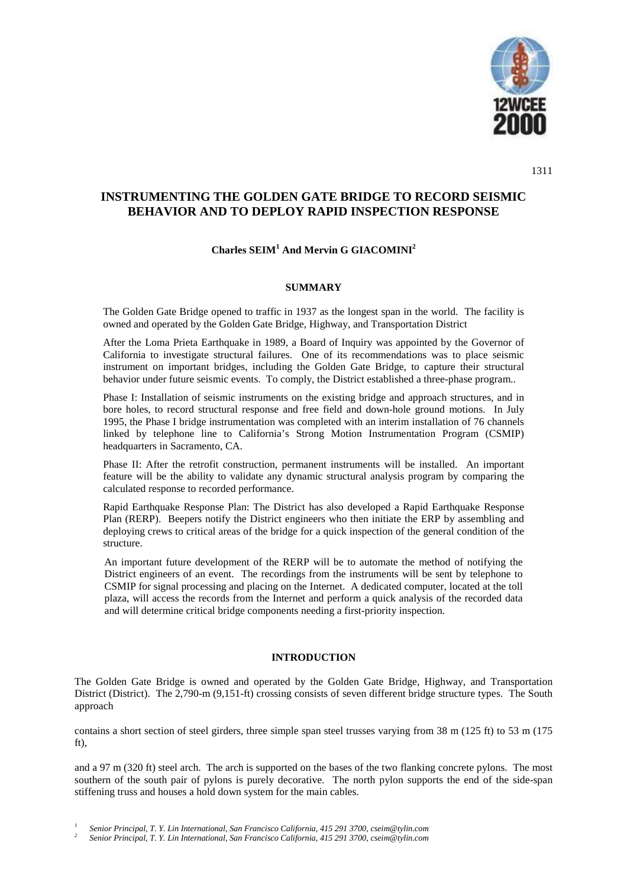

1311

# **INSTRUMENTING THE GOLDEN GATE BRIDGE TO RECORD SEISMIC BEHAVIOR AND TO DEPLOY RAPID INSPECTION RESPONSE**

## **Charles SEIM<sup>1</sup> And Mervin G GIACOMINI2**

## **SUMMARY**

The Golden Gate Bridge opened to traffic in 1937 as the longest span in the world. The facility is owned and operated by the Golden Gate Bridge, Highway, and Transportation District

After the Loma Prieta Earthquake in 1989, a Board of Inquiry was appointed by the Governor of California to investigate structural failures. One of its recommendations was to place seismic instrument on important bridges, including the Golden Gate Bridge, to capture their structural behavior under future seismic events. To comply, the District established a three-phase program..

Phase I: Installation of seismic instruments on the existing bridge and approach structures, and in bore holes, to record structural response and free field and down-hole ground motions. In July 1995, the Phase I bridge instrumentation was completed with an interim installation of 76 channels linked by telephone line to California's Strong Motion Instrumentation Program (CSMIP) headquarters in Sacramento, CA.

Phase II: After the retrofit construction, permanent instruments will be installed. An important feature will be the ability to validate any dynamic structural analysis program by comparing the calculated response to recorded performance.

Rapid Earthquake Response Plan: The District has also developed a Rapid Earthquake Response Plan (RERP). Beepers notify the District engineers who then initiate the ERP by assembling and deploying crews to critical areas of the bridge for a quick inspection of the general condition of the structure.

An important future development of the RERP will be to automate the method of notifying the District engineers of an event. The recordings from the instruments will be sent by telephone to CSMIP for signal processing and placing on the Internet. A dedicated computer, located at the toll plaza, will access the records from the Internet and perform a quick analysis of the recorded data and will determine critical bridge components needing a first-priority inspection.

## **INTRODUCTION**

The Golden Gate Bridge is owned and operated by the Golden Gate Bridge, Highway, and Transportation District (District). The 2,790-m (9,151-ft) crossing consists of seven different bridge structure types. The South approach

contains a short section of steel girders, three simple span steel trusses varying from 38 m (125 ft) to 53 m (175 ft),

and a 97 m (320 ft) steel arch. The arch is supported on the bases of the two flanking concrete pylons. The most southern of the south pair of pylons is purely decorative. The north pylon supports the end of the side-span stiffening truss and houses a hold down system for the main cables.

Senior Principal, T. Y. Lin International, San Francisco California, 415 291 3700, cseim@tylin.com<br>Senior Principal, T. Y. Lin International, San Francisco California, 415 291 3700, cseim@tylin.com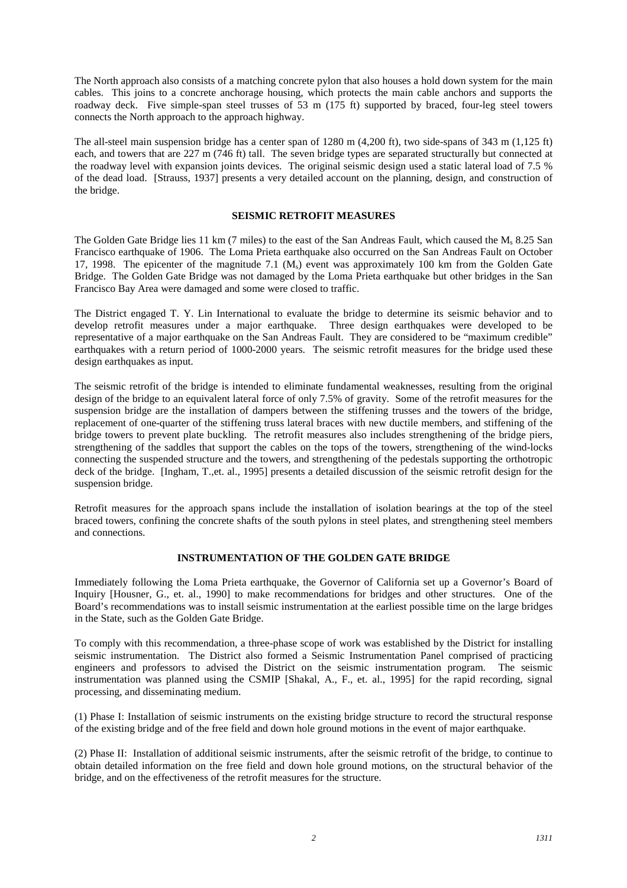The North approach also consists of a matching concrete pylon that also houses a hold down system for the main cables. This joins to a concrete anchorage housing, which protects the main cable anchors and supports the roadway deck. Five simple-span steel trusses of 53 m (175 ft) supported by braced, four-leg steel towers connects the North approach to the approach highway.

The all-steel main suspension bridge has a center span of 1280 m (4,200 ft), two side-spans of 343 m (1,125 ft) each, and towers that are 227 m (746 ft) tall. The seven bridge types are separated structurally but connected at the roadway level with expansion joints devices. The original seismic design used a static lateral load of 7.5 % of the dead load. [Strauss, 1937] presents a very detailed account on the planning, design, and construction of the bridge.

## **SEISMIC RETROFIT MEASURES**

The Golden Gate Bridge lies 11 km (7 miles) to the east of the San Andreas Fault, which caused the M<sub>s</sub> 8.25 San Francisco earthquake of 1906. The Loma Prieta earthquake also occurred on the San Andreas Fault on October 17, 1998. The epicenter of the magnitude 7.1 (M<sub>s</sub>) event was approximately 100 km from the Golden Gate Bridge. The Golden Gate Bridge was not damaged by the Loma Prieta earthquake but other bridges in the San Francisco Bay Area were damaged and some were closed to traffic.

The District engaged T. Y. Lin International to evaluate the bridge to determine its seismic behavior and to develop retrofit measures under a major earthquake. Three design earthquakes were developed to be representative of a major earthquake on the San Andreas Fault. They are considered to be "maximum credible" earthquakes with a return period of 1000-2000 years. The seismic retrofit measures for the bridge used these design earthquakes as input.

The seismic retrofit of the bridge is intended to eliminate fundamental weaknesses, resulting from the original design of the bridge to an equivalent lateral force of only 7.5% of gravity. Some of the retrofit measures for the suspension bridge are the installation of dampers between the stiffening trusses and the towers of the bridge, replacement of one-quarter of the stiffening truss lateral braces with new ductile members, and stiffening of the bridge towers to prevent plate buckling. The retrofit measures also includes strengthening of the bridge piers, strengthening of the saddles that support the cables on the tops of the towers, strengthening of the wind-locks connecting the suspended structure and the towers, and strengthening of the pedestals supporting the orthotropic deck of the bridge. [Ingham, T.,et. al., 1995] presents a detailed discussion of the seismic retrofit design for the suspension bridge.

Retrofit measures for the approach spans include the installation of isolation bearings at the top of the steel braced towers, confining the concrete shafts of the south pylons in steel plates, and strengthening steel members and connections.

## **INSTRUMENTATION OF THE GOLDEN GATE BRIDGE**

Immediately following the Loma Prieta earthquake, the Governor of California set up a Governor's Board of Inquiry [Housner, G., et. al., 1990] to make recommendations for bridges and other structures. One of the Board's recommendations was to install seismic instrumentation at the earliest possible time on the large bridges in the State, such as the Golden Gate Bridge.

To comply with this recommendation, a three-phase scope of work was established by the District for installing seismic instrumentation. The District also formed a Seismic Instrumentation Panel comprised of practicing engineers and professors to advised the District on the seismic instrumentation program. The seismic instrumentation was planned using the CSMIP [Shakal, A., F., et. al., 1995] for the rapid recording, signal processing, and disseminating medium.

(1) Phase I: Installation of seismic instruments on the existing bridge structure to record the structural response of the existing bridge and of the free field and down hole ground motions in the event of major earthquake.

(2) Phase II: Installation of additional seismic instruments, after the seismic retrofit of the bridge, to continue to obtain detailed information on the free field and down hole ground motions, on the structural behavior of the bridge, and on the effectiveness of the retrofit measures for the structure.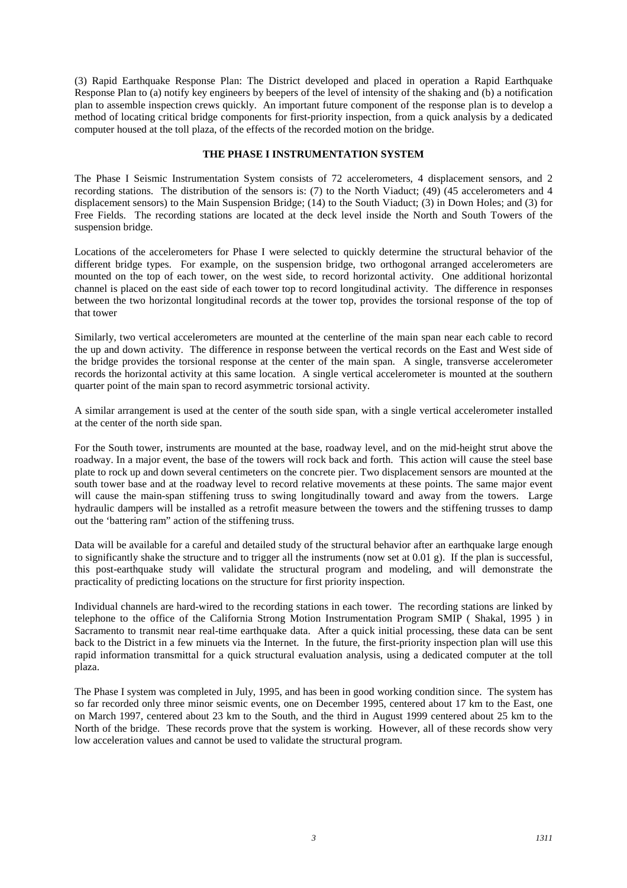(3) Rapid Earthquake Response Plan: The District developed and placed in operation a Rapid Earthquake Response Plan to (a) notify key engineers by beepers of the level of intensity of the shaking and (b) a notification plan to assemble inspection crews quickly. An important future component of the response plan is to develop a method of locating critical bridge components for first-priority inspection, from a quick analysis by a dedicated computer housed at the toll plaza, of the effects of the recorded motion on the bridge.

#### **THE PHASE I INSTRUMENTATION SYSTEM**

The Phase I Seismic Instrumentation System consists of 72 accelerometers, 4 displacement sensors, and 2 recording stations. The distribution of the sensors is: (7) to the North Viaduct; (49) (45 accelerometers and 4 displacement sensors) to the Main Suspension Bridge; (14) to the South Viaduct; (3) in Down Holes; and (3) for Free Fields. The recording stations are located at the deck level inside the North and South Towers of the suspension bridge.

Locations of the accelerometers for Phase I were selected to quickly determine the structural behavior of the different bridge types. For example, on the suspension bridge, two orthogonal arranged accelerometers are mounted on the top of each tower, on the west side, to record horizontal activity. One additional horizontal channel is placed on the east side of each tower top to record longitudinal activity. The difference in responses between the two horizontal longitudinal records at the tower top, provides the torsional response of the top of that tower

Similarly, two vertical accelerometers are mounted at the centerline of the main span near each cable to record the up and down activity. The difference in response between the vertical records on the East and West side of the bridge provides the torsional response at the center of the main span. A single, transverse accelerometer records the horizontal activity at this same location. A single vertical accelerometer is mounted at the southern quarter point of the main span to record asymmetric torsional activity.

A similar arrangement is used at the center of the south side span, with a single vertical accelerometer installed at the center of the north side span.

For the South tower, instruments are mounted at the base, roadway level, and on the mid-height strut above the roadway. In a major event, the base of the towers will rock back and forth. This action will cause the steel base plate to rock up and down several centimeters on the concrete pier. Two displacement sensors are mounted at the south tower base and at the roadway level to record relative movements at these points. The same major event will cause the main-span stiffening truss to swing longitudinally toward and away from the towers. Large hydraulic dampers will be installed as a retrofit measure between the towers and the stiffening trusses to damp out the 'battering ram" action of the stiffening truss.

Data will be available for a careful and detailed study of the structural behavior after an earthquake large enough to significantly shake the structure and to trigger all the instruments (now set at  $(0.01 \text{ g})$ ). If the plan is successful, this post-earthquake study will validate the structural program and modeling, and will demonstrate the practicality of predicting locations on the structure for first priority inspection.

Individual channels are hard-wired to the recording stations in each tower. The recording stations are linked by telephone to the office of the California Strong Motion Instrumentation Program SMIP ( Shakal, 1995 ) in Sacramento to transmit near real-time earthquake data. After a quick initial processing, these data can be sent back to the District in a few minuets via the Internet. In the future, the first-priority inspection plan will use this rapid information transmittal for a quick structural evaluation analysis, using a dedicated computer at the toll plaza.

The Phase I system was completed in July, 1995, and has been in good working condition since. The system has so far recorded only three minor seismic events, one on December 1995, centered about 17 km to the East, one on March 1997, centered about 23 km to the South, and the third in August 1999 centered about 25 km to the North of the bridge. These records prove that the system is working. However, all of these records show very low acceleration values and cannot be used to validate the structural program.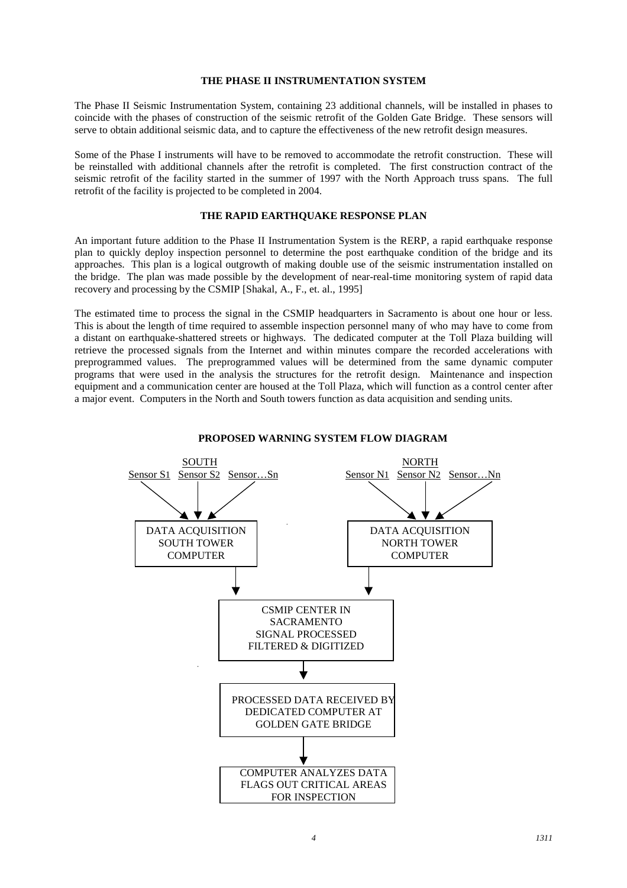#### **THE PHASE II INSTRUMENTATION SYSTEM**

The Phase II Seismic Instrumentation System, containing 23 additional channels, will be installed in phases to coincide with the phases of construction of the seismic retrofit of the Golden Gate Bridge. These sensors will serve to obtain additional seismic data, and to capture the effectiveness of the new retrofit design measures.

Some of the Phase I instruments will have to be removed to accommodate the retrofit construction. These will be reinstalled with additional channels after the retrofit is completed. The first construction contract of the seismic retrofit of the facility started in the summer of 1997 with the North Approach truss spans. The full retrofit of the facility is projected to be completed in 2004.

#### **THE RAPID EARTHQUAKE RESPONSE PLAN**

An important future addition to the Phase II Instrumentation System is the RERP, a rapid earthquake response plan to quickly deploy inspection personnel to determine the post earthquake condition of the bridge and its approaches. This plan is a logical outgrowth of making double use of the seismic instrumentation installed on the bridge. The plan was made possible by the development of near-real-time monitoring system of rapid data recovery and processing by the CSMIP [Shakal, A., F., et. al., 1995]

The estimated time to process the signal in the CSMIP headquarters in Sacramento is about one hour or less. This is about the length of time required to assemble inspection personnel many of who may have to come from a distant on earthquake-shattered streets or highways. The dedicated computer at the Toll Plaza building will retrieve the processed signals from the Internet and within minutes compare the recorded accelerations with preprogrammed values. The preprogrammed values will be determined from the same dynamic computer programs that were used in the analysis the structures for the retrofit design. Maintenance and inspection equipment and a communication center are housed at the Toll Plaza, which will function as a control center after a major event. Computers in the North and South towers function as data acquisition and sending units.



#### **PROPOSED WARNING SYSTEM FLOW DIAGRAM**